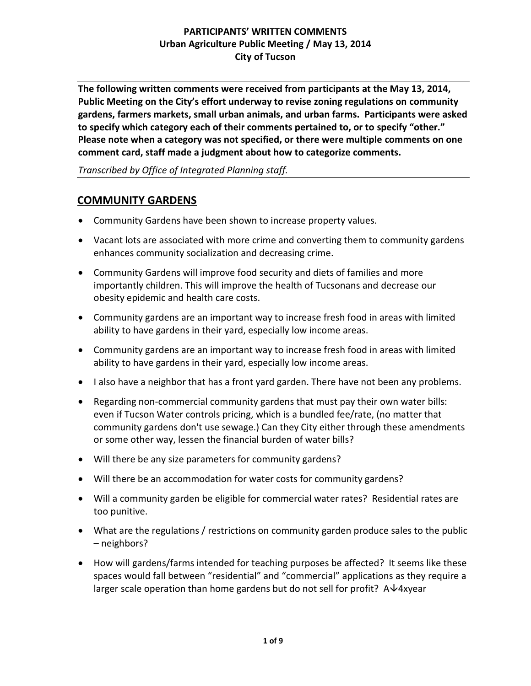**The following written comments were received from participants at the May 13, 2014, Public Meeting on the City's effort underway to revise zoning regulations on community gardens, farmers markets, small urban animals, and urban farms. Participants were asked to specify which category each of their comments pertained to, or to specify "other." Please note when a category was not specified, or there were multiple comments on one comment card, staff made a judgment about how to categorize comments.** 

*Transcribed by Office of Integrated Planning staff.*

## **COMMUNITY GARDENS**

- Community Gardens have been shown to increase property values.
- Vacant lots are associated with more crime and converting them to community gardens enhances community socialization and decreasing crime.
- Community Gardens will improve food security and diets of families and more importantly children. This will improve the health of Tucsonans and decrease our obesity epidemic and health care costs.
- Community gardens are an important way to increase fresh food in areas with limited ability to have gardens in their yard, especially low income areas.
- Community gardens are an important way to increase fresh food in areas with limited ability to have gardens in their yard, especially low income areas.
- I also have a neighbor that has a front vard garden. There have not been any problems.
- Regarding non-commercial community gardens that must pay their own water bills: even if Tucson Water controls pricing, which is a bundled fee/rate, (no matter that community gardens don't use sewage.) Can they City either through these amendments or some other way, lessen the financial burden of water bills?
- Will there be any size parameters for community gardens?
- Will there be an accommodation for water costs for community gardens?
- Will a community garden be eligible for commercial water rates? Residential rates are too punitive.
- What are the regulations / restrictions on community garden produce sales to the public – neighbors?
- How will gardens/farms intended for teaching purposes be affected? It seems like these spaces would fall between "residential" and "commercial" applications as they require a larger scale operation than home gardens but do not sell for profit?  $A\rightarrow 4x$ year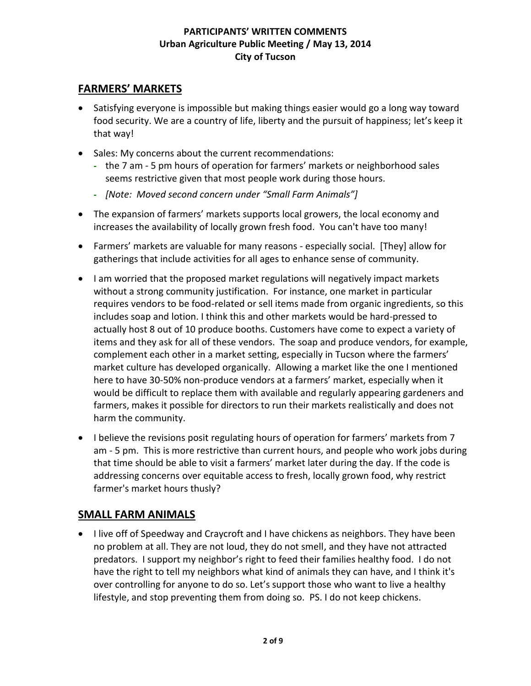# **FARMERS' MARKETS**

- Satisfying everyone is impossible but making things easier would go a long way toward food security. We are a country of life, liberty and the pursuit of happiness; let's keep it that way!
- Sales: My concerns about the current recommendations:
	- **-** the 7 am 5 pm hours of operation for farmers' markets or neighborhood sales seems restrictive given that most people work during those hours.
	- **-** *[Note: Moved second concern under "Small Farm Animals"]*
- The expansion of farmers' markets supports local growers, the local economy and increases the availability of locally grown fresh food. You can't have too many!
- Farmers' markets are valuable for many reasons especially social. [They] allow for gatherings that include activities for all ages to enhance sense of community.
- I am worried that the proposed market regulations will negatively impact markets without a strong community justification. For instance, one market in particular requires vendors to be food-related or sell items made from organic ingredients, so this includes soap and lotion. I think this and other markets would be hard-pressed to actually host 8 out of 10 produce booths. Customers have come to expect a variety of items and they ask for all of these vendors. The soap and produce vendors, for example, complement each other in a market setting, especially in Tucson where the farmers' market culture has developed organically. Allowing a market like the one I mentioned here to have 30-50% non-produce vendors at a farmers' market, especially when it would be difficult to replace them with available and regularly appearing gardeners and farmers, makes it possible for directors to run their markets realistically and does not harm the community.
- I believe the revisions posit regulating hours of operation for farmers' markets from 7 am - 5 pm. This is more restrictive than current hours, and people who work jobs during that time should be able to visit a farmers' market later during the day. If the code is addressing concerns over equitable access to fresh, locally grown food, why restrict farmer's market hours thusly?

## **SMALL FARM ANIMALS**

• I live off of Speedway and Craycroft and I have chickens as neighbors. They have been no problem at all. They are not loud, they do not smell, and they have not attracted predators. I support my neighbor's right to feed their families healthy food. I do not have the right to tell my neighbors what kind of animals they can have, and I think it's over controlling for anyone to do so. Let's support those who want to live a healthy lifestyle, and stop preventing them from doing so. PS. I do not keep chickens.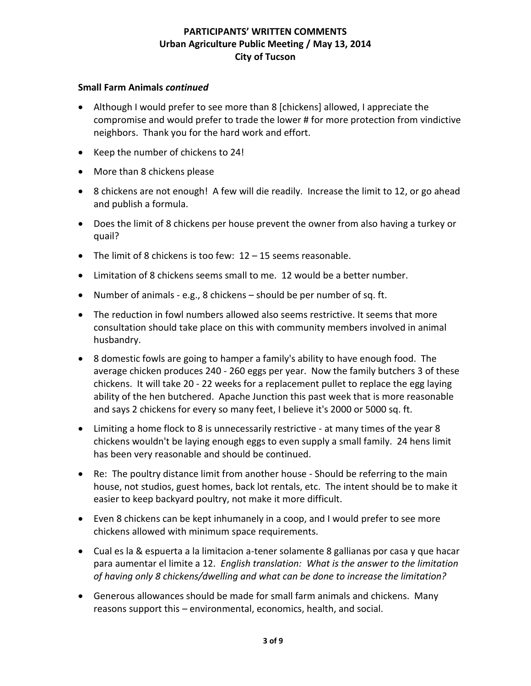#### **Small Farm Animals** *continued*

- Although I would prefer to see more than 8 [chickens] allowed, I appreciate the compromise and would prefer to trade the lower # for more protection from vindictive neighbors. Thank you for the hard work and effort.
- Keep the number of chickens to 24!
- More than 8 chickens please
- 8 chickens are not enough! A few will die readily. Increase the limit to 12, or go ahead and publish a formula.
- Does the limit of 8 chickens per house prevent the owner from also having a turkey or quail?
- The limit of 8 chickens is too few: 12 15 seems reasonable.
- Limitation of 8 chickens seems small to me. 12 would be a better number.
- Number of animals e.g., 8 chickens should be per number of sq. ft.
- The reduction in fowl numbers allowed also seems restrictive. It seems that more consultation should take place on this with community members involved in animal husbandry.
- 8 domestic fowls are going to hamper a family's ability to have enough food. The average chicken produces 240 - 260 eggs per year. Now the family butchers 3 of these chickens. It will take 20 - 22 weeks for a replacement pullet to replace the egg laying ability of the hen butchered. Apache Junction this past week that is more reasonable and says 2 chickens for every so many feet, I believe it's 2000 or 5000 sq. ft.
- Limiting a home flock to 8 is unnecessarily restrictive at many times of the year 8 chickens wouldn't be laying enough eggs to even supply a small family. 24 hens limit has been very reasonable and should be continued.
- Re: The poultry distance limit from another house Should be referring to the main house, not studios, guest homes, back lot rentals, etc. The intent should be to make it easier to keep backyard poultry, not make it more difficult.
- Even 8 chickens can be kept inhumanely in a coop, and I would prefer to see more chickens allowed with minimum space requirements.
- Cual es la & espuerta a la limitacion a-tener solamente 8 gallianas por casa y que hacar para aumentar el limite a 12. *English translation: What is the answer to the limitation of having only 8 chickens/dwelling and what can be done to increase the limitation?*
- Generous allowances should be made for small farm animals and chickens. Many reasons support this – environmental, economics, health, and social.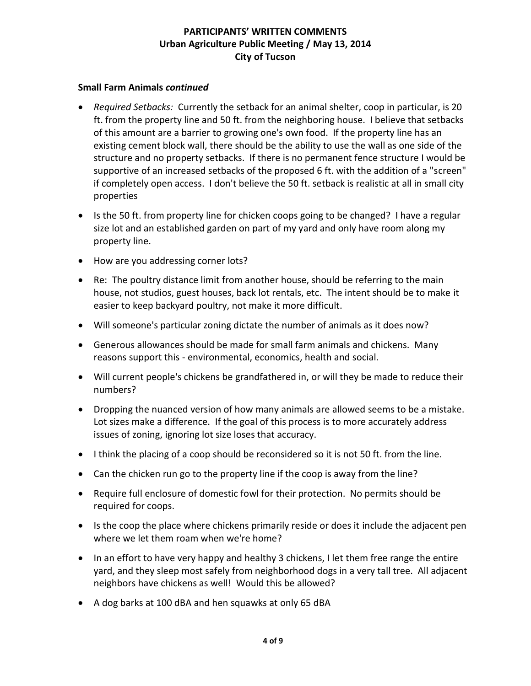#### **Small Farm Animals** *continued*

- *Required Setbacks:* Currently the setback for an animal shelter, coop in particular, is 20 ft. from the property line and 50 ft. from the neighboring house. I believe that setbacks of this amount are a barrier to growing one's own food. If the property line has an existing cement block wall, there should be the ability to use the wall as one side of the structure and no property setbacks. If there is no permanent fence structure I would be supportive of an increased setbacks of the proposed 6 ft. with the addition of a "screen" if completely open access. I don't believe the 50 ft. setback is realistic at all in small city properties
- Is the 50 ft. from property line for chicken coops going to be changed? I have a regular size lot and an established garden on part of my yard and only have room along my property line.
- How are you addressing corner lots?
- Re: The poultry distance limit from another house, should be referring to the main house, not studios, guest houses, back lot rentals, etc. The intent should be to make it easier to keep backyard poultry, not make it more difficult.
- Will someone's particular zoning dictate the number of animals as it does now?
- Generous allowances should be made for small farm animals and chickens. Many reasons support this - environmental, economics, health and social.
- Will current people's chickens be grandfathered in, or will they be made to reduce their numbers?
- Dropping the nuanced version of how many animals are allowed seems to be a mistake. Lot sizes make a difference. If the goal of this process is to more accurately address issues of zoning, ignoring lot size loses that accuracy.
- I think the placing of a coop should be reconsidered so it is not 50 ft. from the line.
- Can the chicken run go to the property line if the coop is away from the line?
- Require full enclosure of domestic fowl for their protection. No permits should be required for coops.
- Is the coop the place where chickens primarily reside or does it include the adjacent pen where we let them roam when we're home?
- In an effort to have very happy and healthy 3 chickens, I let them free range the entire yard, and they sleep most safely from neighborhood dogs in a very tall tree. All adjacent neighbors have chickens as well! Would this be allowed?
- A dog barks at 100 dBA and hen squawks at only 65 dBA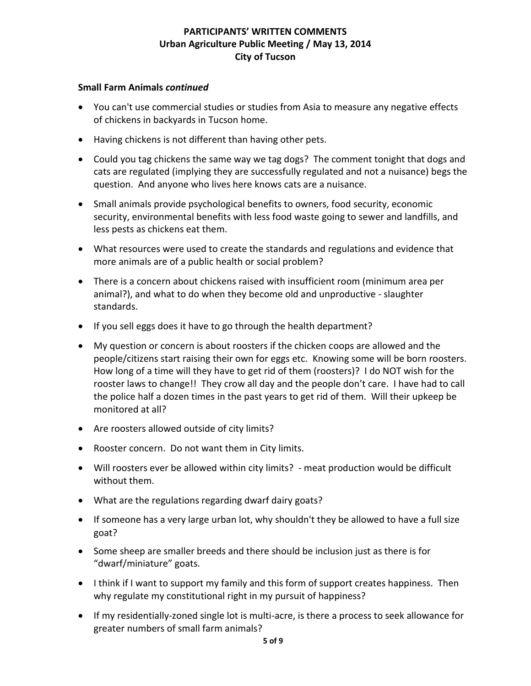#### **Small Farm Animals** *continued*

- You can't use commercial studies or studies from Asia to measure any negative effects of chickens in backyards in Tucson home.
- Having chickens is not different than having other pets.
- Could you tag chickens the same way we tag dogs? The comment tonight that dogs and cats are regulated (implying they are successfully regulated and not a nuisance) begs the question. And anyone who lives here knows cats are a nuisance.
- Small animals provide psychological benefits to owners, food security, economic security, environmental benefits with less food waste going to sewer and landfills, and less pests as chickens eat them.
- What resources were used to create the standards and regulations and evidence that more animals are of a public health or social problem?
- There is a concern about chickens raised with insufficient room (minimum area per animal?), and what to do when they become old and unproductive - slaughter standards.
- If you sell eggs does it have to go through the health department?
- My question or concern is about roosters if the chicken coops are allowed and the people/citizens start raising their own for eggs etc. Knowing some will be born roosters. How long of a time will they have to get rid of them (roosters)? I do NOT wish for the rooster laws to change!! They crow all day and the people don't care. I have had to call the police half a dozen times in the past years to get rid of them. Will their upkeep be monitored at all?
- Are roosters allowed outside of city limits?
- Rooster concern. Do not want them in City limits.
- Will roosters ever be allowed within city limits? meat production would be difficult without them.
- What are the regulations regarding dwarf dairy goats?
- If someone has a very large urban lot, why shouldn't they be allowed to have a full size goat?
- Some sheep are smaller breeds and there should be inclusion just as there is for "dwarf/miniature" goats.
- I think if I want to support my family and this form of support creates happiness. Then why regulate my constitutional right in my pursuit of happiness?
- If my residentially-zoned single lot is multi-acre, is there a process to seek allowance for greater numbers of small farm animals?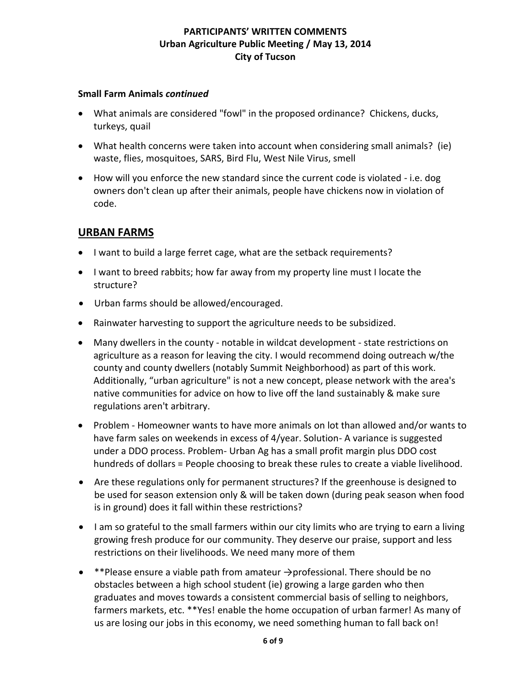#### **Small Farm Animals** *continued*

- What animals are considered "fowl" in the proposed ordinance? Chickens, ducks, turkeys, quail
- What health concerns were taken into account when considering small animals? (ie) waste, flies, mosquitoes, SARS, Bird Flu, West Nile Virus, smell
- How will you enforce the new standard since the current code is violated i.e. dog owners don't clean up after their animals, people have chickens now in violation of code.

# **URBAN FARMS**

- I want to build a large ferret cage, what are the setback requirements?
- I want to breed rabbits; how far away from my property line must I locate the structure?
- Urban farms should be allowed/encouraged.
- Rainwater harvesting to support the agriculture needs to be subsidized.
- Many dwellers in the county notable in wildcat development state restrictions on agriculture as a reason for leaving the city. I would recommend doing outreach w/the county and county dwellers (notably Summit Neighborhood) as part of this work. Additionally, "urban agriculture" is not a new concept, please network with the area's native communities for advice on how to live off the land sustainably & make sure regulations aren't arbitrary.
- Problem Homeowner wants to have more animals on lot than allowed and/or wants to have farm sales on weekends in excess of 4/year. Solution- A variance is suggested under a DDO process. Problem- Urban Ag has a small profit margin plus DDO cost hundreds of dollars = People choosing to break these rules to create a viable livelihood.
- Are these regulations only for permanent structures? If the greenhouse is designed to be used for season extension only & will be taken down (during peak season when food is in ground) does it fall within these restrictions?
- I am so grateful to the small farmers within our city limits who are trying to earn a living growing fresh produce for our community. They deserve our praise, support and less restrictions on their livelihoods. We need many more of them
- \*\*Please ensure a viable path from amateur  $\rightarrow$ professional. There should be no obstacles between a high school student (ie) growing a large garden who then graduates and moves towards a consistent commercial basis of selling to neighbors, farmers markets, etc. \*\*Yes! enable the home occupation of urban farmer! As many of us are losing our jobs in this economy, we need something human to fall back on!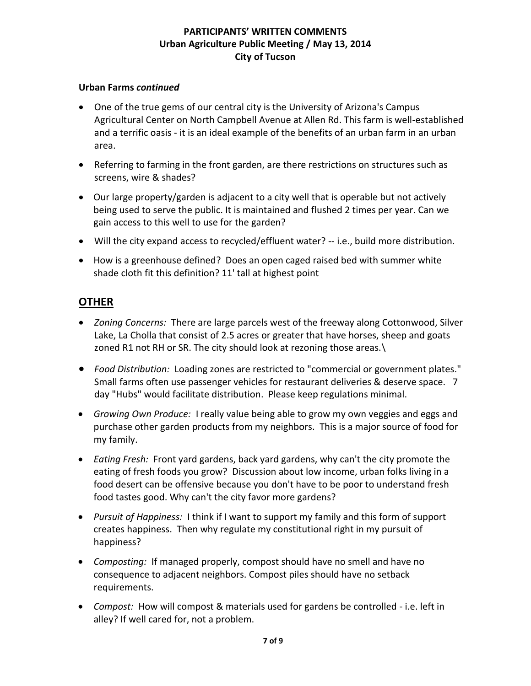#### **Urban Farms** *continued*

- One of the true gems of our central city is the University of Arizona's Campus Agricultural Center on North Campbell Avenue at Allen Rd. This farm is well-established and a terrific oasis - it is an ideal example of the benefits of an urban farm in an urban area.
- Referring to farming in the front garden, are there restrictions on structures such as screens, wire & shades?
- Our large property/garden is adjacent to a city well that is operable but not actively being used to serve the public. It is maintained and flushed 2 times per year. Can we gain access to this well to use for the garden?
- Will the city expand access to recycled/effluent water? -- i.e., build more distribution.
- How is a greenhouse defined? Does an open caged raised bed with summer white shade cloth fit this definition? 11' tall at highest point

# **OTHER**

- *Zoning Concerns:* There are large parcels west of the freeway along Cottonwood, Silver Lake, La Cholla that consist of 2.5 acres or greater that have horses, sheep and goats zoned R1 not RH or SR. The city should look at rezoning those areas.\
- *Food Distribution:* Loading zones are restricted to "commercial or government plates." Small farms often use passenger vehicles for restaurant deliveries & deserve space. 7 day "Hubs" would facilitate distribution. Please keep regulations minimal.
- *Growing Own Produce:* I really value being able to grow my own veggies and eggs and purchase other garden products from my neighbors. This is a major source of food for my family.
- *Eating Fresh:* Front yard gardens, back yard gardens, why can't the city promote the eating of fresh foods you grow? Discussion about low income, urban folks living in a food desert can be offensive because you don't have to be poor to understand fresh food tastes good. Why can't the city favor more gardens?
- *Pursuit of Happiness:*I think if I want to support my family and this form of support creates happiness. Then why regulate my constitutional right in my pursuit of happiness?
- *Composting:* If managed properly, compost should have no smell and have no consequence to adjacent neighbors. Compost piles should have no setback requirements.
- *Compost:* How will compost & materials used for gardens be controlled i.e. left in alley? If well cared for, not a problem.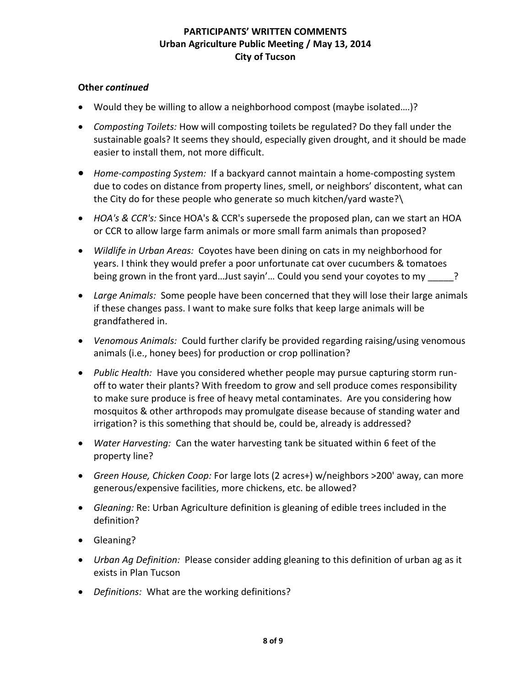### **Other** *continued*

- Would they be willing to allow a neighborhood compost (maybe isolated….)?
- *Composting Toilets:* How will composting toilets be regulated? Do they fall under the sustainable goals? It seems they should, especially given drought, and it should be made easier to install them, not more difficult.
- *Home-composting System:* If a backyard cannot maintain a home-composting system due to codes on distance from property lines, smell, or neighbors' discontent, what can the City do for these people who generate so much kitchen/yard waste?\
- *HOA's & CCR's:* Since HOA's & CCR's supersede the proposed plan, can we start an HOA or CCR to allow large farm animals or more small farm animals than proposed?
- *Wildlife in Urban Areas:* Coyotes have been dining on cats in my neighborhood for years. I think they would prefer a poor unfortunate cat over cucumbers & tomatoes being grown in the front yard...Just sayin'... Could you send your coyotes to my
- *Large Animals:* Some people have been concerned that they will lose their large animals if these changes pass. I want to make sure folks that keep large animals will be grandfathered in.
- *Venomous Animals:* Could further clarify be provided regarding raising/using venomous animals (i.e., honey bees) for production or crop pollination?
- *Public Health:* Have you considered whether people may pursue capturing storm runoff to water their plants? With freedom to grow and sell produce comes responsibility to make sure produce is free of heavy metal contaminates. Are you considering how mosquitos & other arthropods may promulgate disease because of standing water and irrigation? is this something that should be, could be, already is addressed?
- *Water Harvesting:* Can the water harvesting tank be situated within 6 feet of the property line?
- *Green House, Chicken Coop:* For large lots (2 acres+) w/neighbors >200' away, can more generous/expensive facilities, more chickens, etc. be allowed?
- *Gleaning:* Re: Urban Agriculture definition is gleaning of edible trees included in the definition?
- Gleaning?
- *Urban Ag Definition:* Please consider adding gleaning to this definition of urban ag as it exists in Plan Tucson
- *Definitions:* What are the working definitions?